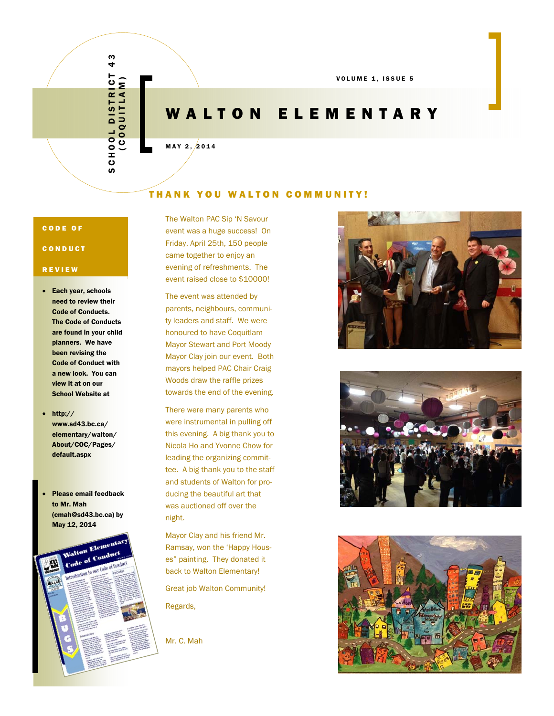## SCHOOL DISTRICT 43  $\frac{3}{4}$  $\mathbf{c}$ (COQUITLAM) SCHOOL DISTRICT<br>SCHOOL DISTRICT

VOLUME 1, ISSUE 5

### WALTON ELEMENTARY

 $MAY$  2,  $2014$ 

### THANK YOU WALTON COMMUNITY!

### CODE OF

### CONDUCT

### REVIEW

- Each year, schools need to review their Code of Conducts. The Code of Conducts are found in your child planners. We have been revising the Code of Conduct with a new look. You can view it at on our School Website at
- $\bullet$  http:// www.sd43.bc.ca/ elementary/walton/ About/COC/Pages/ default.aspx
- Please email feedback to Mr. Mah (cmah@sd43.bc.ca) by May 12, 2014



The Walton PAC Sip 'N Savour event was a huge success! On Friday, April 25th, 150 people came together to enjoy an evening of refreshments. The event raised close to \$10000!

The event was attended by parents, neighbours, community leaders and staff. We were honoured to have Coquitlam Mayor Stewart and Port Moody Mayor Clay join our event. Both mayors helped PAC Chair Craig Woods draw the raffle prizes towards the end of the evening.

There were many parents who were instrumental in pulling off this evening. A big thank you to Nicola Ho and Yvonne Chow for leading the organizing committee. A big thank you to the staff and students of Walton for producing the beautiful art that was auctioned off over the night.

Mayor Clay and his friend Mr. Ramsay, won the 'Happy Houses" painting. They donated it back to Walton Elementary!

Great job Walton Community! Regards,

Mr. C. Mah





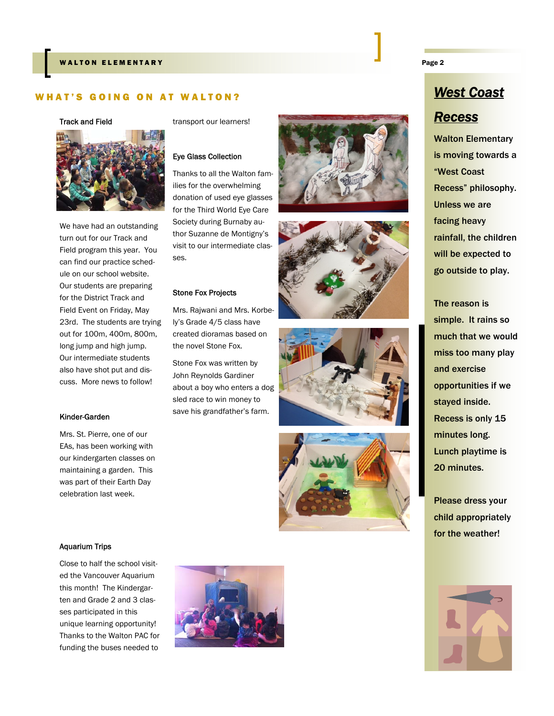### WHAT'S GOING ON AT WALTON? *West Coast*

### Track and Field



We have had an outstanding turn out for our Track and Field program this year. You can find our practice schedule on our school website. Our students are preparing for the District Track and Field Event on Friday, May 23rd. The students are trying out for 100m, 400m, 800m, long jump and high jump. Our intermediate students also have shot put and discuss. More news to follow!

### Kinder-Garden

Mrs. St. Pierre, one of our EAs, has been working with our kindergarten classes on maintaining a garden. This was part of their Earth Day celebration last week.

### Aquarium Trips

Close to half the school visited the Vancouver Aquarium this month! The Kindergarten and Grade 2 and 3 classes participated in this unique learning opportunity! Thanks to the Walton PAC for funding the buses needed to



### Eye Glass Collection

Thanks to all the Walton families for the overwhelming donation of used eye glasses for the Third World Eye Care Society during Burnaby author Suzanne de Montigny's visit to our intermediate classes.

### Stone Fox Projects

Mrs. Rajwani and Mrs. Korbely's Grade 4/5 class have created dioramas based on the novel Stone Fox.

Stone Fox was written by John Reynolds Gardiner about a boy who enters a dog sled race to win money to save his grandfather's farm.









# *Recess*

Walton Elementary is moving towards a "West Coast Recess" philosophy. Unless we are facing heavy rainfall, the children will be expected to go outside to play.

The reason is simple. It rains so much that we would miss too many play and exercise opportunities if we stayed inside. Recess is only 15 minutes long. Lunch playtime is 20 minutes.

Please dress your child appropriately for the weather!



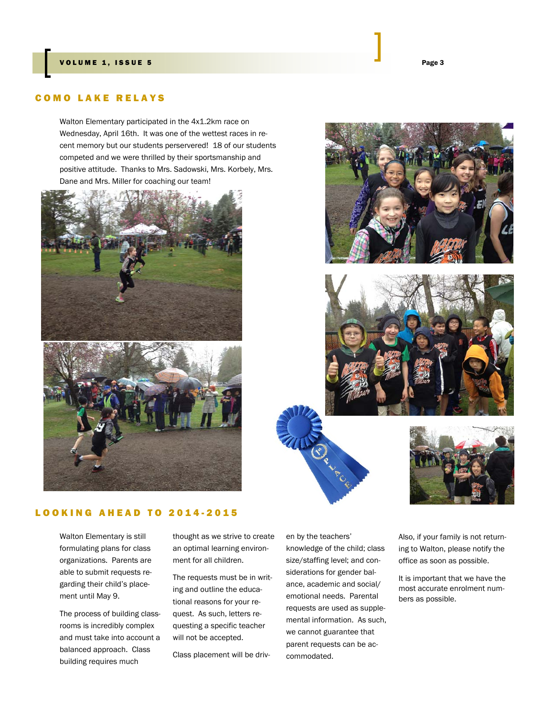### COMO LAKE RELAYS

Walton Elementary participated in the 4x1.2km race on Wednesday, April 16th. It was one of the wettest races in recent memory but our students perservered! 18 of our students competed and we were thrilled by their sportsmanship and positive attitude. Thanks to Mrs. Sadowski, Mrs. Korbely, Mrs. Dane and Mrs. Miller for coaching our team!















Walton Elementary is still formulating plans for class organizations. Parents are able to submit requests regarding their child's placement until May 9.

The process of building classrooms is incredibly complex and must take into account a balanced approach. Class building requires much

thought as we strive to create an optimal learning environment for all children.

The requests must be in writing and outline the educational reasons for your request. As such, letters requesting a specific teacher will not be accepted.

Class placement will be driv-

en by the teachers' knowledge of the child; class size/staffing level; and considerations for gender balance, academic and social/ emotional needs. Parental requests are used as supplemental information. As such, we cannot guarantee that parent requests can be accommodated.

Also, if your family is not returning to Walton, please notify the office as soon as possible.

It is important that we have the most accurate enrolment numbers as possible.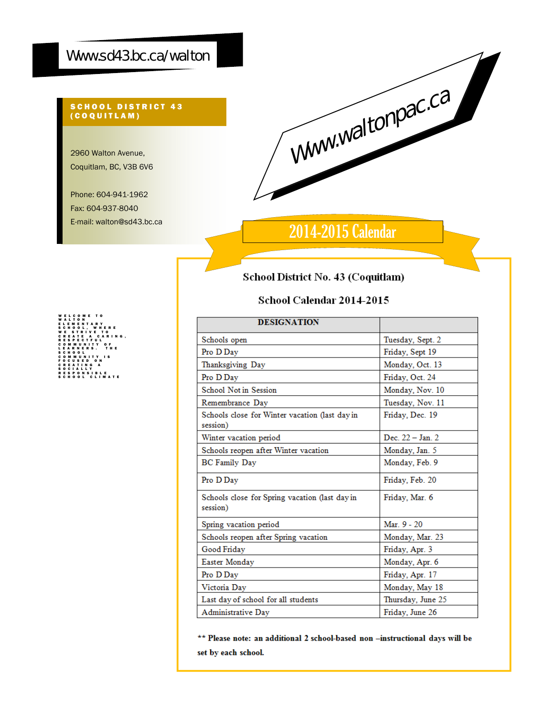### Www.sd43.bc.ca/walton

### SCHOOL DISTRICT 43 (COQUITLAM)

2960 Walton Avenue, Coquitlam, BC, V3B 6V6

Phone: 604-941-1962 Fax: 604-937-8040 E-mail: walton@sd43.bc.ca



### 2014-2015 Calendar

### School District No. 43 (Coquitlam)

### School Calendar 2014-2015

| <b>DESIGNATION</b>                                         |                   |
|------------------------------------------------------------|-------------------|
| Schools open                                               | Tuesday, Sept. 2  |
| Pro D Day                                                  | Friday, Sept 19   |
| Thanksgiving Day                                           | Monday, Oct. 13   |
| Pro D Day                                                  | Friday, Oct. 24   |
| <b>School Not in Session</b>                               | Monday, Nov. 10   |
| Remembrance Day                                            | Tuesday, Nov. 11  |
| Schools close for Winter vacation (last day in<br>session) | Friday, Dec. 19   |
| Winter vacation period                                     | Dec. 22 - Jan. 2  |
| Schools reopen after Winter vacation                       | Monday, Jan. 5    |
| <b>BC</b> Family Day                                       | Monday, Feb. 9    |
| Pro D Day                                                  | Friday, Feb. 20   |
| Schools close for Spring vacation (last day in<br>session) | Friday, Mar. 6    |
| Spring vacation period                                     | Mar. 9 - 20       |
| Schools reopen after Spring vacation                       | Monday, Mar. 23   |
| Good Friday                                                | Friday, Apr. 3    |
| Easter Monday                                              | Monday, Apr. 6    |
| Pro D Day                                                  | Friday, Apr. 17   |
| Victoria Day                                               | Monday, May 18    |
| Last day of school for all students                        | Thursday, June 25 |
| Administrative Day                                         | Friday, June 26   |

\*\* Please note: an additional 2 school-based non -instructional days will be set by each school.

WELCOME TO WALTON ELEMENTARY SCHOOL, WHERE WE STRIVE TO CREATE A CARING, RESPECTFUL COMMUNITY OF LEARNERS. THE SCHOOL COMMUNITY IS FOCUSED ON CREATING A SOCIALLY RESPONSIBLE SCHOOL CLIMATE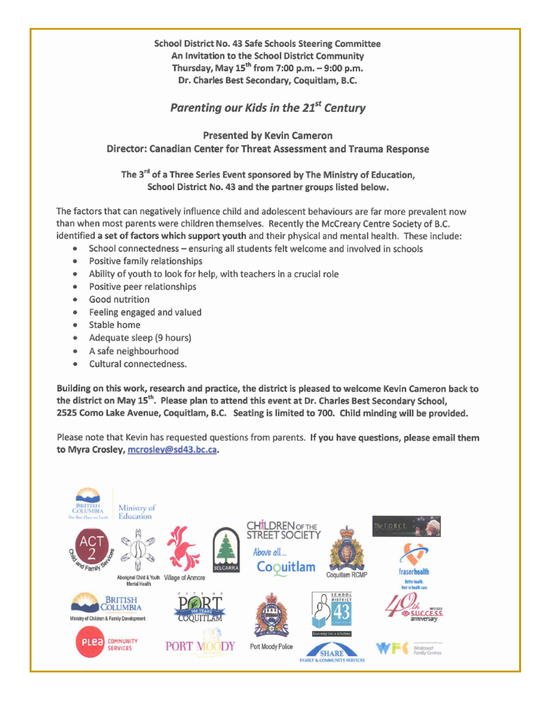School District No. 43 Safe Schools Steering Committee An Invitation to the School District Community Thursday, May 15<sup>th</sup> from 7:00 p.m. - 9:00 p.m. Dr. Charles Best Secondary, Coquitlam, B.C.

### Parenting our Kids in the 21<sup>st</sup> Century

### Presented by Kevin Cameron Director: Canadian Center for Threat Assessment and Trauma Response

The 3<sup>rd</sup> of a Three Series Event sponsored by The Ministry of Education, School District No. 43 and the partner groups listed below.

The factors that can negatively influence child and adolescent behaviours are far more prevalent now than when most parents were children themselves. Recently the McCreary Centre Society of B.C. identified a set of factors which support youth and their physical and mental health. These include:

- School connectedness ensuring all students felt welcome and involved in schools
- Positive family relationships  $\bullet$
- Ability of youth to look for help, with teachers in a crucial role  $\bullet$
- Positive peer relationships
- Good nutrition ۰
- Feeling engaged and valued
- Stable home
- Adequate sleep (9 hours)
- A safe neighbourhood
- Cultural connectedness. ٠

Building on this work, research and practice, the district is pleased to welcome Kevin Cameron back to the district on May 15<sup>th</sup>. Please plan to attend this event at Dr. Charles Best Secondary School, 2525 Como Lake Avenue, Coquitlam, B.C. Seating is limited to 700. Child minding will be provided.

Please note that Kevin has requested questions from parents. If you have questions, please email them to Myra Crosley, mcrosley@sd43.bc.ca.

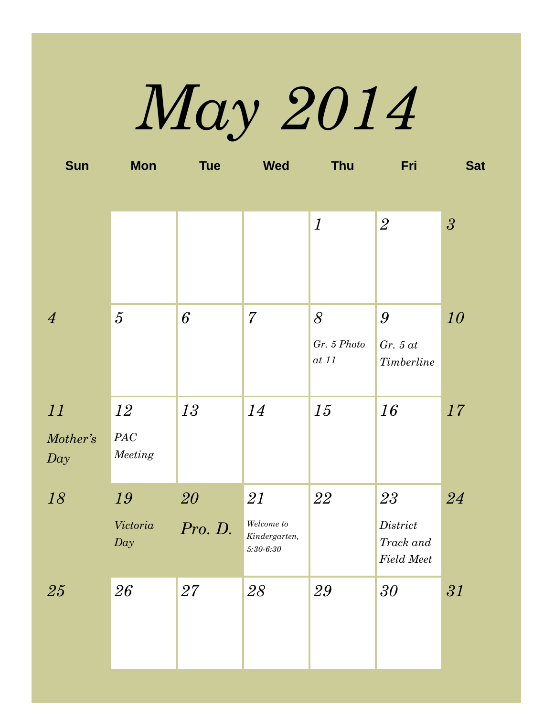*May 2014* 

| <b>Sun</b>     | <b>Mon</b>      | <b>Tue</b> | <b>Wed</b>                  | <b>Thu</b>           | Fri                                             | <b>Sat</b>     |
|----------------|-----------------|------------|-----------------------------|----------------------|-------------------------------------------------|----------------|
|                |                 |            |                             |                      |                                                 |                |
|                |                 |            |                             | $\boldsymbol{l}$     | $\overline{2}$                                  | $\mathfrak{z}$ |
|                |                 |            |                             |                      |                                                 |                |
|                |                 |            |                             |                      |                                                 |                |
| $\overline{4}$ | $5\overline{)}$ | 6          | $\overline{7}$              | 8                    | 9                                               | 10             |
|                |                 |            |                             | Gr. 5 Photo<br>at 11 | $Gr. 5$ at                                      |                |
|                |                 |            |                             |                      | <b>Timberline</b>                               |                |
| 11             | 12              | 13         | 14                          | 15                   | 16                                              | 17             |
| Mother's       | $PAC$           |            |                             |                      |                                                 |                |
| Day            | Meeting         |            |                             |                      |                                                 |                |
| 18             | 19              | 20         | 21                          | 22                   | 23                                              | 24             |
|                | Victoria        | Pro. D.    | Welcome to<br>Kindergarten, |                      | $\label{eq:dist} District$                      |                |
|                | Day             |            | $5:30 - 6:30$               |                      | $\operatorname{Track}$ and<br><b>Field Meet</b> |                |
| 25             | 26              | 27         | 28                          | 29                   | 30                                              | 31             |
|                |                 |            |                             |                      |                                                 |                |
|                |                 |            |                             |                      |                                                 |                |
|                |                 |            |                             |                      |                                                 |                |